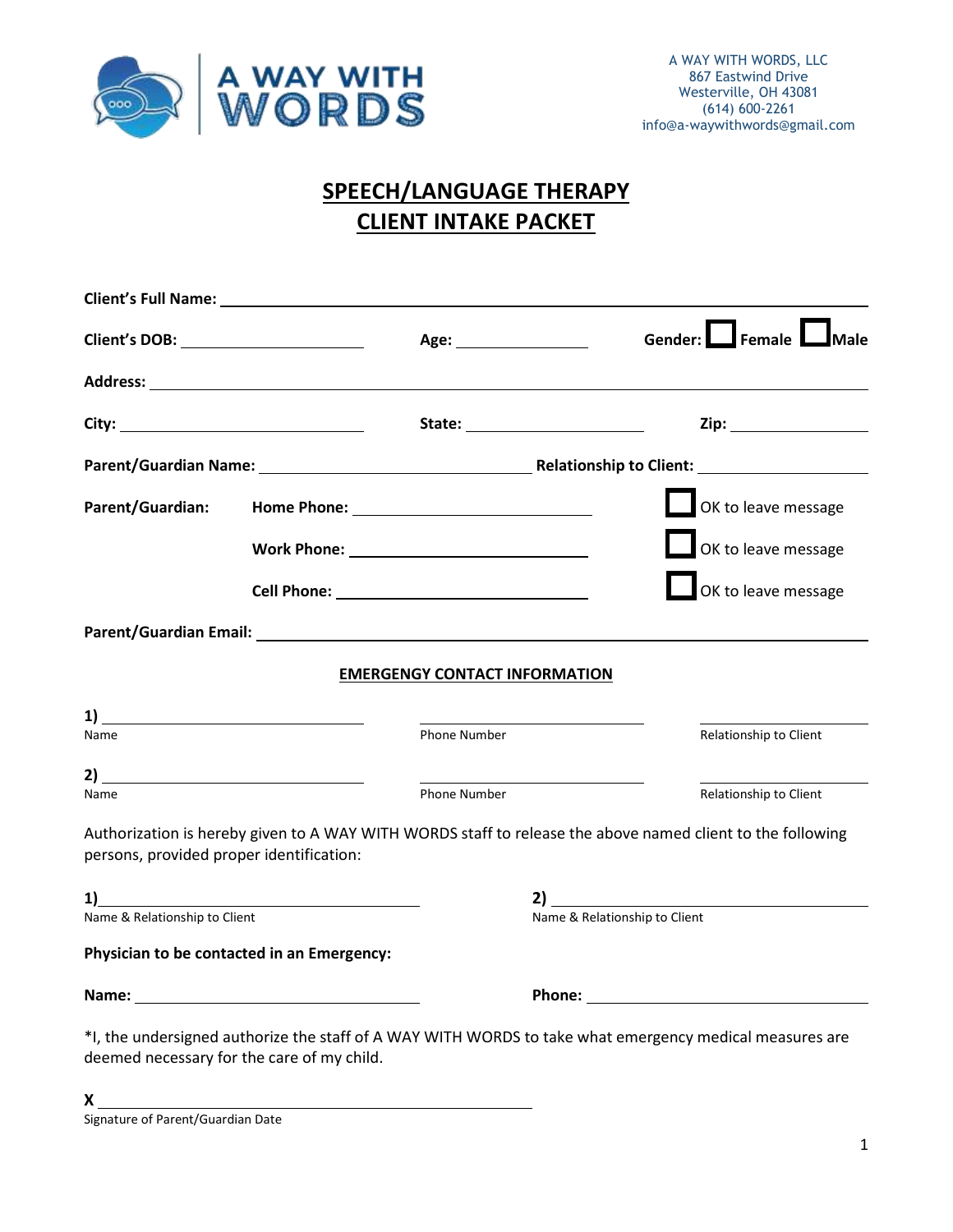

# **SPEECH/LANGUAGE THERAPY CLIENT INTAKE PACKET**

| Client's DOB: ______________________     |                                                                                                                                                                                                                                |                                                                                                            |                               | Gender: Female Male    |
|------------------------------------------|--------------------------------------------------------------------------------------------------------------------------------------------------------------------------------------------------------------------------------|------------------------------------------------------------------------------------------------------------|-------------------------------|------------------------|
|                                          |                                                                                                                                                                                                                                |                                                                                                            |                               |                        |
|                                          |                                                                                                                                                                                                                                |                                                                                                            |                               |                        |
|                                          |                                                                                                                                                                                                                                |                                                                                                            |                               |                        |
| Parent/Guardian:                         |                                                                                                                                                                                                                                |                                                                                                            |                               | OK to leave message    |
|                                          |                                                                                                                                                                                                                                |                                                                                                            |                               | OK to leave message    |
|                                          |                                                                                                                                                                                                                                |                                                                                                            |                               | OK to leave message    |
|                                          |                                                                                                                                                                                                                                |                                                                                                            |                               |                        |
|                                          |                                                                                                                                                                                                                                | <b>EMERGENGY CONTACT INFORMATION</b>                                                                       |                               |                        |
|                                          |                                                                                                                                                                                                                                |                                                                                                            |                               |                        |
| Name                                     |                                                                                                                                                                                                                                | Phone Number                                                                                               |                               | Relationship to Client |
| 2)                                       | <u> 1989 - Andrea Andrew Maria (b. 1989)</u>                                                                                                                                                                                   |                                                                                                            |                               |                        |
| Name                                     |                                                                                                                                                                                                                                | <b>Phone Number</b>                                                                                        |                               | Relationship to Client |
| persons, provided proper identification: |                                                                                                                                                                                                                                | Authorization is hereby given to A WAY WITH WORDS staff to release the above named client to the following |                               |                        |
|                                          |                                                                                                                                                                                                                                |                                                                                                            |                               |                        |
| Name & Relationship to Client            |                                                                                                                                                                                                                                |                                                                                                            | Name & Relationship to Client |                        |
|                                          | Physician to be contacted in an Emergency:                                                                                                                                                                                     |                                                                                                            |                               |                        |
|                                          | Name: Name and the second state of the second state of the second state of the second state of the second state of the second state of the second state of the second state of the second state of the second state of the sec |                                                                                                            |                               |                        |
|                                          | deemed necessary for the care of my child.                                                                                                                                                                                     | *I, the undersigned authorize the staff of A WAY WITH WORDS to take what emergency medical measures are    |                               |                        |

**X**  Signature of Parent/Guardian Date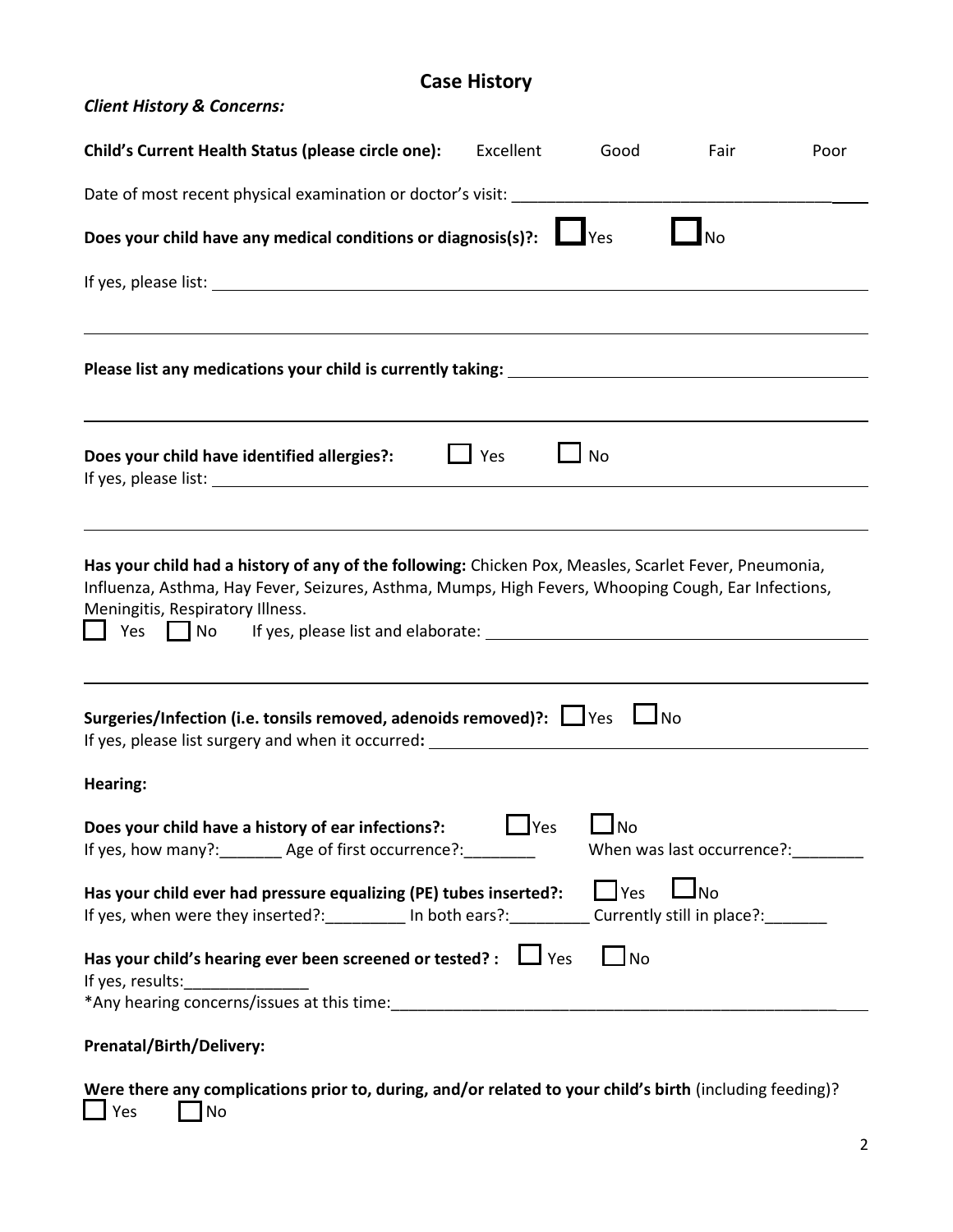# **Case History**

| <b>Client History &amp; Concerns:</b>                                                                                                                                                                                                                                         |                    |            |                            |      |
|-------------------------------------------------------------------------------------------------------------------------------------------------------------------------------------------------------------------------------------------------------------------------------|--------------------|------------|----------------------------|------|
| Child's Current Health Status (please circle one):                                                                                                                                                                                                                            | Excellent          | Good       | Fair                       | Poor |
| Date of most recent physical examination or doctor's visit: ____________________                                                                                                                                                                                              |                    |            |                            |      |
| Does your child have any medical conditions or diagnosis(s)?:   Ves                                                                                                                                                                                                           |                    |            | <b>No</b>                  |      |
|                                                                                                                                                                                                                                                                               |                    |            |                            |      |
|                                                                                                                                                                                                                                                                               |                    |            |                            |      |
| Does your child have identified allergies?:<br>If yes, please list: 1999 and 2008 and 2009 and 2009 and 2009 and 2009 and 2009 and 2009 and 2009 and 2009 and                                                                                                                 | $\Box$ Yes         | $\Box$ No  |                            |      |
| Has your child had a history of any of the following: Chicken Pox, Measles, Scarlet Fever, Pneumonia,<br>Influenza, Asthma, Hay Fever, Seizures, Asthma, Mumps, High Fevers, Whooping Cough, Ear Infections,<br>Meningitis, Respiratory Illness.<br>Yes<br>$\vert$ $\vert$ No |                    |            |                            |      |
| Surgeries/Infection (i.e. tonsils removed, adenoids removed)?: $\Box$ Yes $\Box$ No<br>If yes, please list surgery and when it occurred: ______________________________                                                                                                       |                    |            |                            |      |
| Hearing:                                                                                                                                                                                                                                                                      |                    |            |                            |      |
| Does your child have a history of ear infections?:<br>If yes, how many?: ________ Age of first occurrence?: _________                                                                                                                                                         | $\blacksquare$ Yes | $\Box$ No  | When was last occurrence?: |      |
| Has your child ever had pressure equalizing (PE) tubes inserted?:<br>If yes, when were they inserted?: __________ In both ears?: __________ Currently still in place?: _______                                                                                                |                    | $\Box$ Yes | $\bigsqcup$ No             |      |
| Has your child's hearing ever been screened or tested? : $\Box$ Yes<br>If yes, results:                                                                                                                                                                                       |                    | $\Box$ No  |                            |      |
|                                                                                                                                                                                                                                                                               |                    |            |                            |      |
| Prenatal/Birth/Delivery:                                                                                                                                                                                                                                                      |                    |            |                            |      |

**Were there any complications prior to, during, and/or related to your child's birth** (including feeding)?<br>
Yes 
I No  $\Box$  No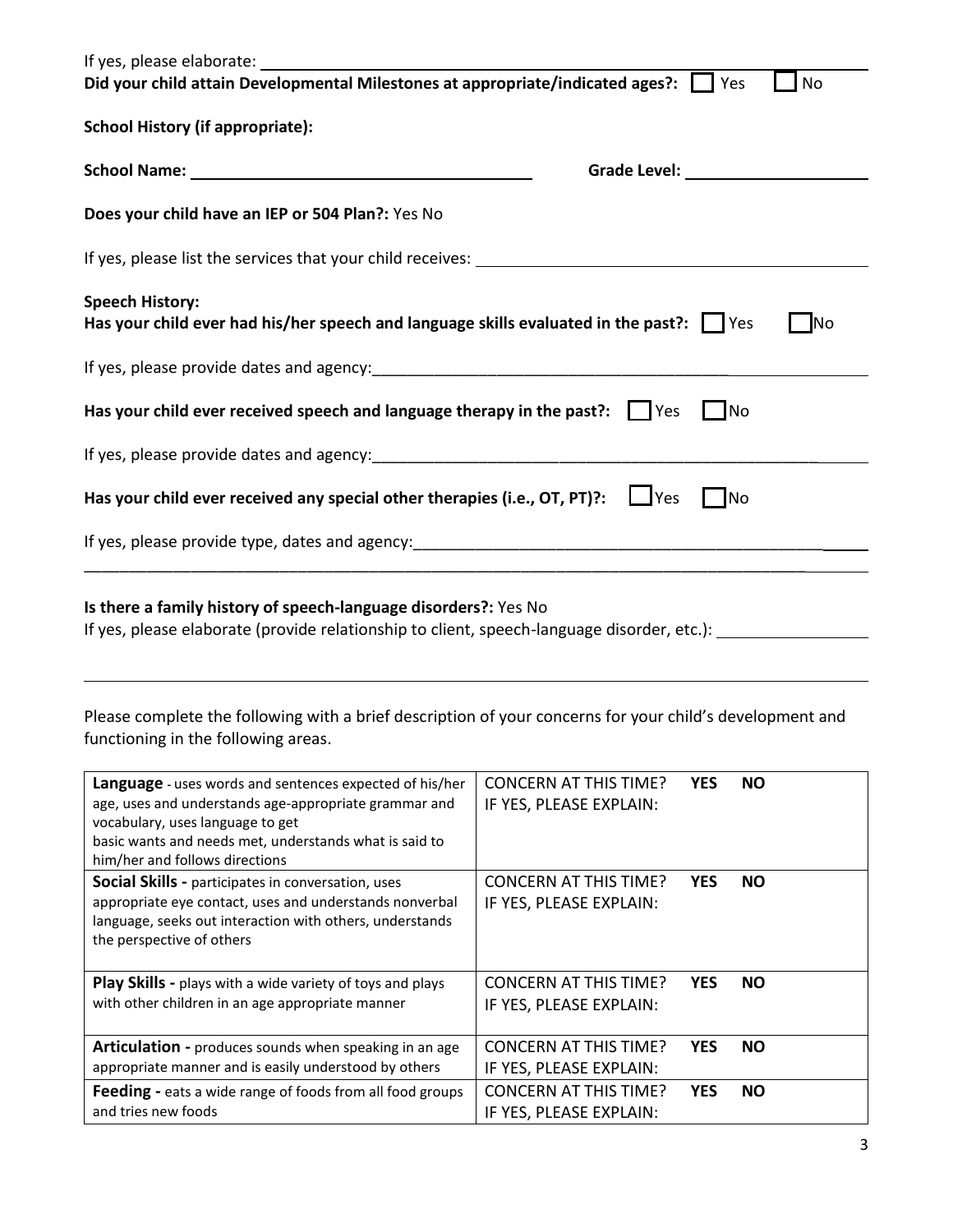| If yes, please elaborate:                                                                                                                                                                                                                        |                                                                                                                                                                                                                                |
|--------------------------------------------------------------------------------------------------------------------------------------------------------------------------------------------------------------------------------------------------|--------------------------------------------------------------------------------------------------------------------------------------------------------------------------------------------------------------------------------|
| Did your child attain Developmental Milestones at appropriate/indicated ages?:                                                                                                                                                                   | No<br>Yes                                                                                                                                                                                                                      |
| <b>School History (if appropriate):</b>                                                                                                                                                                                                          |                                                                                                                                                                                                                                |
| School Name: Name and School Name and School Name and School Name and School Inc.                                                                                                                                                                | Grade Level: New York Change of the Change of the Change of the Change of the Change of the Change of the Change of the Change of the Change of the Change of the Change of the Change of the Change of the Change of the Chan |
| Does your child have an IEP or 504 Plan?: Yes No                                                                                                                                                                                                 |                                                                                                                                                                                                                                |
|                                                                                                                                                                                                                                                  |                                                                                                                                                                                                                                |
| <b>Speech History:</b><br>Has your child ever had his/her speech and language skills evaluated in the past?: $\Box$ Yes                                                                                                                          | <b>No</b>                                                                                                                                                                                                                      |
|                                                                                                                                                                                                                                                  |                                                                                                                                                                                                                                |
| Has your child ever received speech and language therapy in the past?:     Yes                                                                                                                                                                   | No                                                                                                                                                                                                                             |
|                                                                                                                                                                                                                                                  |                                                                                                                                                                                                                                |
| Has your child ever received any special other therapies (i.e., $OT$ , $PT$ )?: $\Box$ Yes                                                                                                                                                       | No                                                                                                                                                                                                                             |
|                                                                                                                                                                                                                                                  |                                                                                                                                                                                                                                |
| Is there a family history of speech-language disorders?: Yes No                                                                                                                                                                                  | If yes, please elaborate (provide relationship to client, speech-language disorder, etc.):                                                                                                                                     |
| Please complete the following with a brief description of your concerns for your child's development and<br>functioning in the following areas.                                                                                                  |                                                                                                                                                                                                                                |
| Language - uses words and sentences expected of his/her<br>age, uses and understands age-appropriate grammar and<br>vocabulary, uses language to get<br>basic wants and needs met, understands what is said to<br>him/her and follows directions | <b>CONCERN AT THIS TIME?</b><br><b>YES</b><br><b>NO</b><br>IF YES, PLEASE EXPLAIN:                                                                                                                                             |
| Social Skills - participates in conversation, uses<br>appropriate eye contact, uses and understands nonverbal<br>language, seeks out interaction with others, understands<br>the perspective of others                                           | <b>CONCERN AT THIS TIME?</b><br><b>YES</b><br><b>NO</b><br>IF YES, PLEASE EXPLAIN:                                                                                                                                             |
| Play Skills - plays with a wide variety of toys and plays<br>with other children in an age appropriate manner                                                                                                                                    | <b>CONCERN AT THIS TIME?</b><br><b>YES</b><br><b>NO</b><br>IF YES, PLEASE EXPLAIN:                                                                                                                                             |
| Articulation - produces sounds when speaking in an age<br>appropriate manner and is easily understood by others                                                                                                                                  | <b>CONCERN AT THIS TIME?</b><br><b>YES</b><br><b>NO</b><br>IF YES, PLEASE EXPLAIN:                                                                                                                                             |
| Feeding - eats a wide range of foods from all food groups                                                                                                                                                                                        | <b>CONCERN AT THIS TIME?</b><br><b>YES</b><br><b>NO</b>                                                                                                                                                                        |

IF YES, PLEASE EXPLAIN:

and tries new foods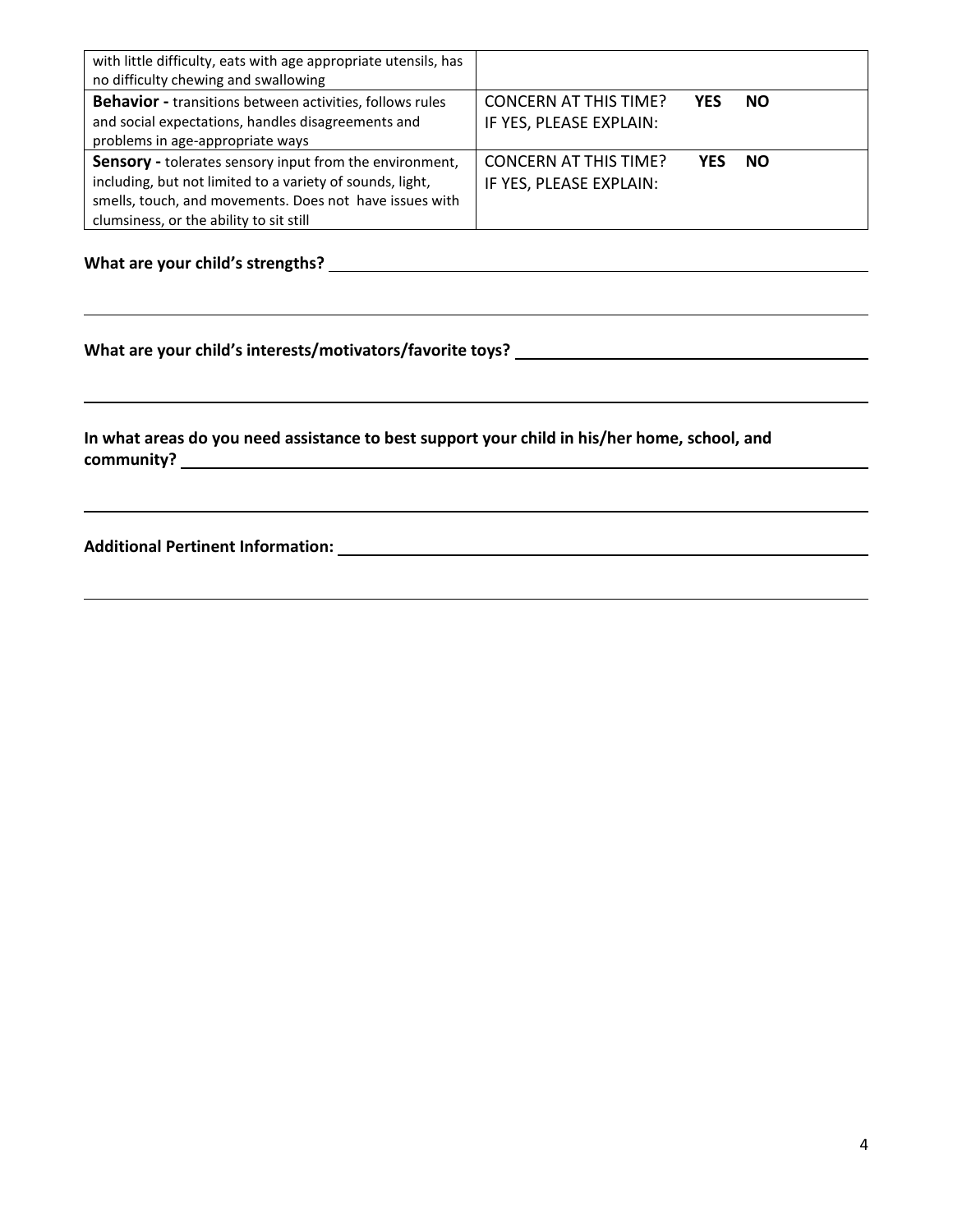| with little difficulty, eats with age appropriate utensils, has<br>no difficulty chewing and swallowing                                                                                                                    |                                                         |            |           |  |
|----------------------------------------------------------------------------------------------------------------------------------------------------------------------------------------------------------------------------|---------------------------------------------------------|------------|-----------|--|
| <b>Behavior</b> - transitions between activities, follows rules<br>and social expectations, handles disagreements and<br>problems in age-appropriate ways                                                                  | <b>CONCERN AT THIS TIME?</b><br>IF YES, PLEASE EXPLAIN: | YES        | NO.       |  |
| Sensory - tolerates sensory input from the environment,<br>including, but not limited to a variety of sounds, light,<br>smells, touch, and movements. Does not have issues with<br>clumsiness, or the ability to sit still | <b>CONCERN AT THIS TIME?</b><br>IF YES, PLEASE EXPLAIN: | <b>YFS</b> | <b>NO</b> |  |

#### **What are your child's strengths?**

#### **What are your child's interests/motivators/favorite toys?**

**In what areas do you need assistance to best support your child in his/her home, school, and community?** 

#### **Additional Pertinent Information:**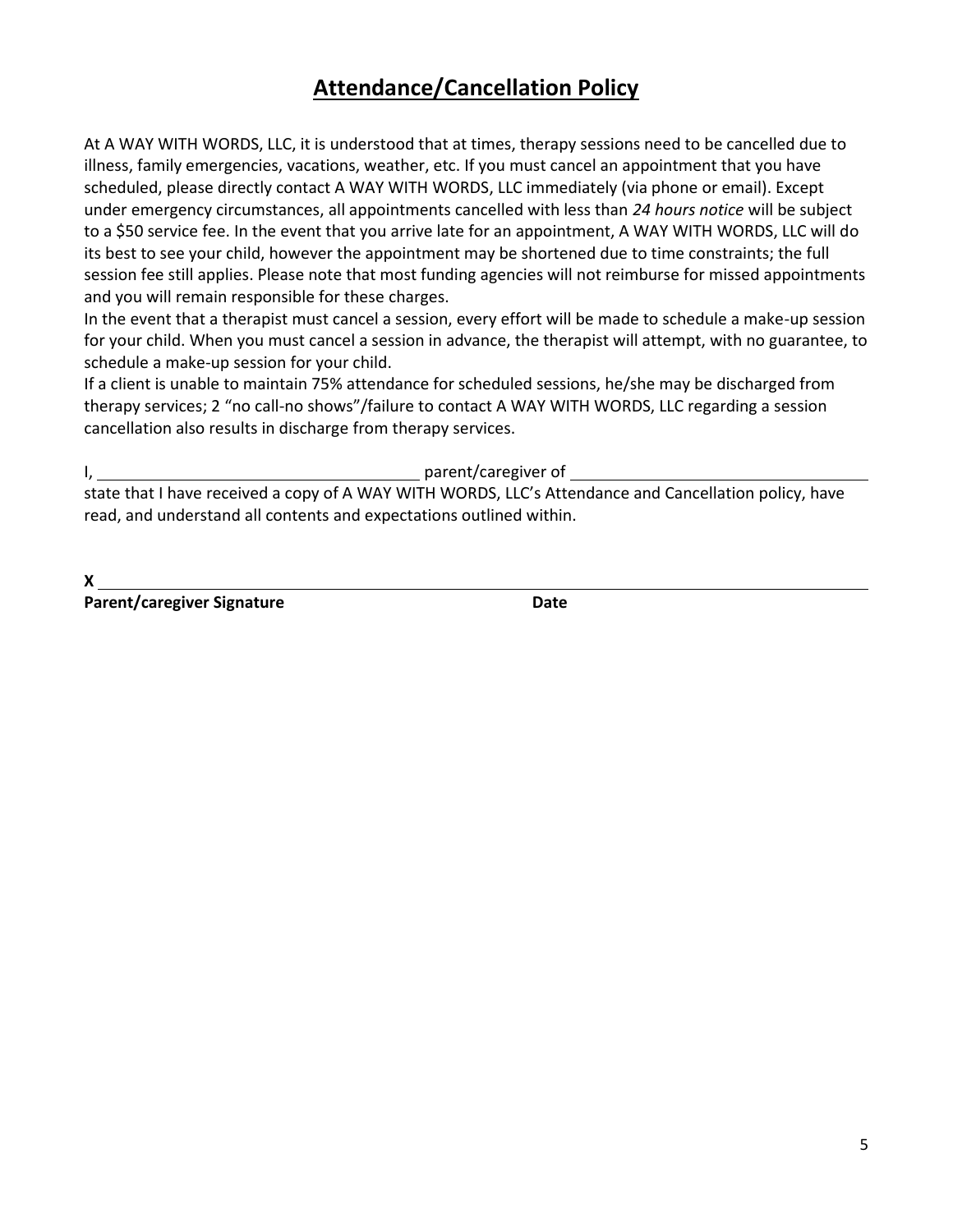# **Attendance/Cancellation Policy**

At A WAY WITH WORDS, LLC, it is understood that at times, therapy sessions need to be cancelled due to illness, family emergencies, vacations, weather, etc. If you must cancel an appointment that you have scheduled, please directly contact A WAY WITH WORDS, LLC immediately (via phone or email). Except under emergency circumstances, all appointments cancelled with less than *24 hours notice* will be subject to a \$50 service fee. In the event that you arrive late for an appointment, A WAY WITH WORDS, LLC will do its best to see your child, however the appointment may be shortened due to time constraints; the full session fee still applies. Please note that most funding agencies will not reimburse for missed appointments and you will remain responsible for these charges.

In the event that a therapist must cancel a session, every effort will be made to schedule a make-up session for your child. When you must cancel a session in advance, the therapist will attempt, with no guarantee, to schedule a make-up session for your child.

If a client is unable to maintain 75% attendance for scheduled sessions, he/she may be discharged from therapy services; 2 "no call-no shows"/failure to contact A WAY WITH WORDS, LLC regarding a session cancellation also results in discharge from therapy services.

I, the contract of the contract of the contract of the contract of the contract of the contract of the contract of the contract of the contract of the contract of the contract of the contract of the contract of the contrac

state that I have received a copy of A WAY WITH WORDS, LLC's Attendance and Cancellation policy, have read, and understand all contents and expectations outlined within.

**X** 

Parent/caregiver Signature **Date** Date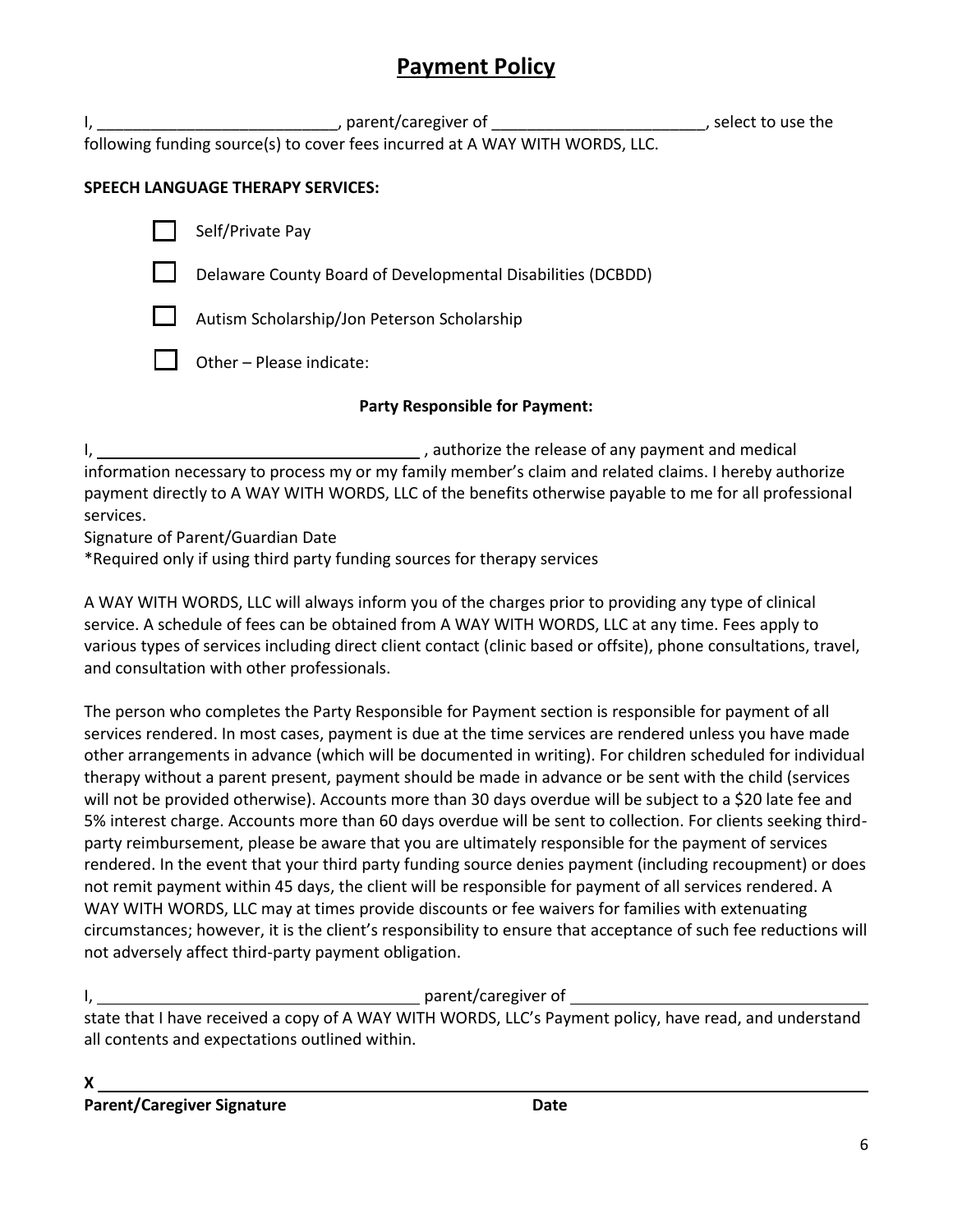# **Payment Policy**

I, \_\_\_\_\_\_\_\_\_\_\_\_\_\_\_\_\_\_\_\_\_\_\_\_\_\_\_\_\_\_\_\_, parent/caregiver of \_\_\_\_\_\_\_\_\_\_\_\_\_\_\_\_\_\_\_\_\_\_\_\_\_\_\_\_\_\_\_\_, select to use the following funding source(s) to cover fees incurred at A WAY WITH WORDS, LLC.

### **SPEECH LANGUAGE THERAPY SERVICES:**

| Self/Private Pay                                            |  |
|-------------------------------------------------------------|--|
| Delaware County Board of Developmental Disabilities (DCBDD) |  |
| Autism Scholarship/Jon Peterson Scholarship                 |  |
| Other - Please indicate:                                    |  |

### **Party Responsible for Payment:**

I, 1. Authorize the release of any payment and medical information necessary to process my or my family member's claim and related claims. I hereby authorize payment directly to A WAY WITH WORDS, LLC of the benefits otherwise payable to me for all professional services.

Signature of Parent/Guardian Date

\*Required only if using third party funding sources for therapy services

A WAY WITH WORDS, LLC will always inform you of the charges prior to providing any type of clinical service. A schedule of fees can be obtained from A WAY WITH WORDS, LLC at any time. Fees apply to various types of services including direct client contact (clinic based or offsite), phone consultations, travel, and consultation with other professionals.

The person who completes the Party Responsible for Payment section is responsible for payment of all services rendered. In most cases, payment is due at the time services are rendered unless you have made other arrangements in advance (which will be documented in writing). For children scheduled for individual therapy without a parent present, payment should be made in advance or be sent with the child (services will not be provided otherwise). Accounts more than 30 days overdue will be subject to a \$20 late fee and 5% interest charge. Accounts more than 60 days overdue will be sent to collection. For clients seeking thirdparty reimbursement, please be aware that you are ultimately responsible for the payment of services rendered. In the event that your third party funding source denies payment (including recoupment) or does not remit payment within 45 days, the client will be responsible for payment of all services rendered. A WAY WITH WORDS, LLC may at times provide discounts or fee waivers for families with extenuating circumstances; however, it is the client's responsibility to ensure that acceptance of such fee reductions will not adversely affect third-party payment obligation.

I, etc. and the contract of the parent/caregiver of the contract of the contract of the contract of the contract of the contract of the contract of the contract of the contract of the contract of the contract of the contra

state that I have received a copy of A WAY WITH WORDS, LLC's Payment policy, have read, and understand all contents and expectations outlined within.

**X**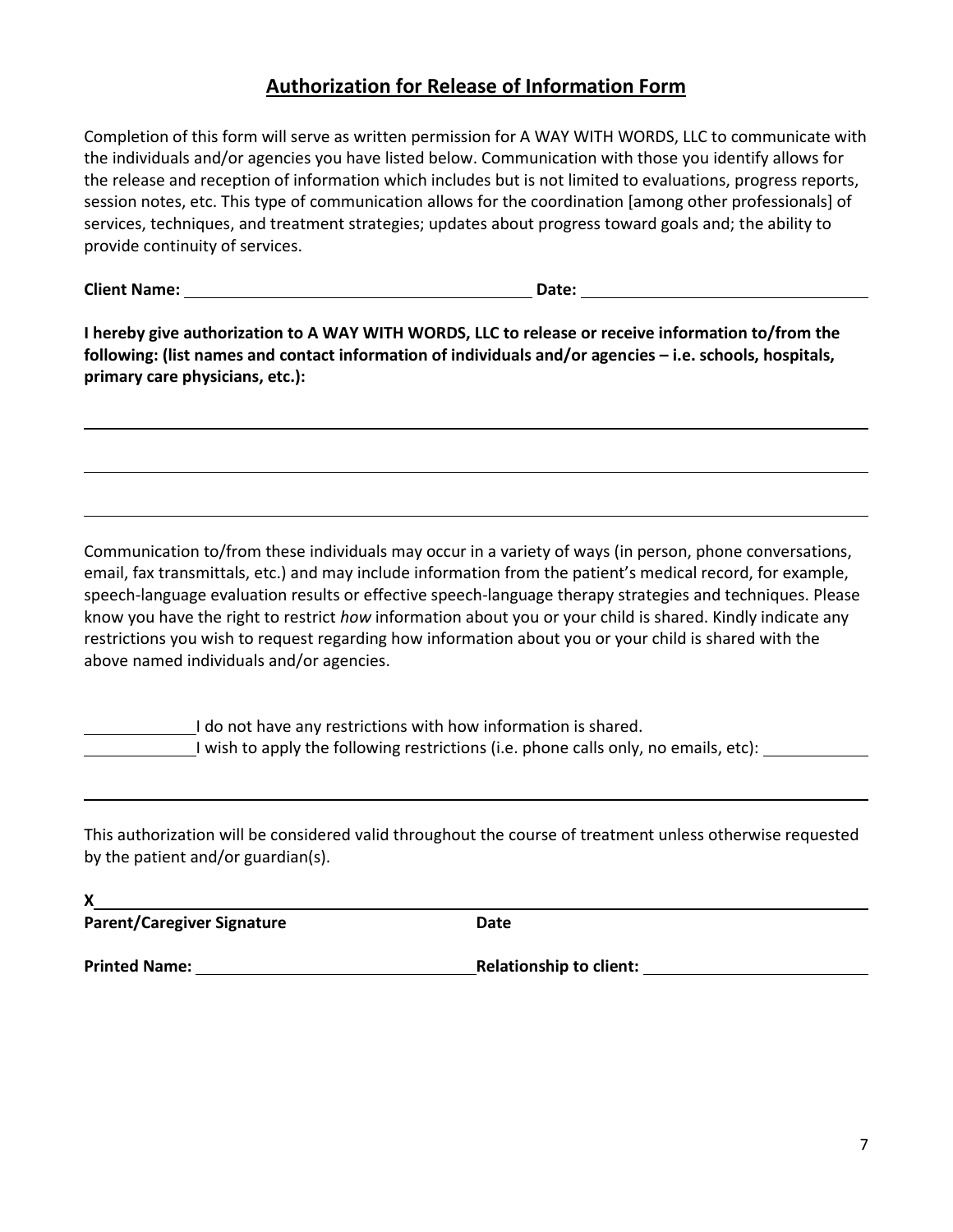## **Authorization for Release of Information Form**

Completion of this form will serve as written permission for A WAY WITH WORDS, LLC to communicate with the individuals and/or agencies you have listed below. Communication with those you identify allows for the release and reception of information which includes but is not limited to evaluations, progress reports, session notes, etc. This type of communication allows for the coordination [among other professionals] of services, techniques, and treatment strategies; updates about progress toward goals and; the ability to provide continuity of services.

**Client Name: Date: Date: Date: Date: Date: Date: Date: Date: Date: Date: Date: Date: Date: Date: Date: Date: Date: Date: Date: Date: Date: Date: Date: Date: Date: Date:** 

**I hereby give authorization to A WAY WITH WORDS, LLC to release or receive information to/from the following: (list names and contact information of individuals and/or agencies – i.e. schools, hospitals, primary care physicians, etc.):** 

Communication to/from these individuals may occur in a variety of ways (in person, phone conversations, email, fax transmittals, etc.) and may include information from the patient's medical record, for example, speech-language evaluation results or effective speech-language therapy strategies and techniques. Please know you have the right to restrict *how* information about you or your child is shared. Kindly indicate any restrictions you wish to request regarding how information about you or your child is shared with the above named individuals and/or agencies.

I do not have any restrictions with how information is shared. I wish to apply the following restrictions (i.e. phone calls only, no emails, etc):

This authorization will be considered valid throughout the course of treatment unless otherwise requested by the patient and/or guardian(s).

| X                                 |                                |
|-----------------------------------|--------------------------------|
| <b>Parent/Caregiver Signature</b> | Date                           |
| <b>Printed Name:</b>              | <b>Relationship to client:</b> |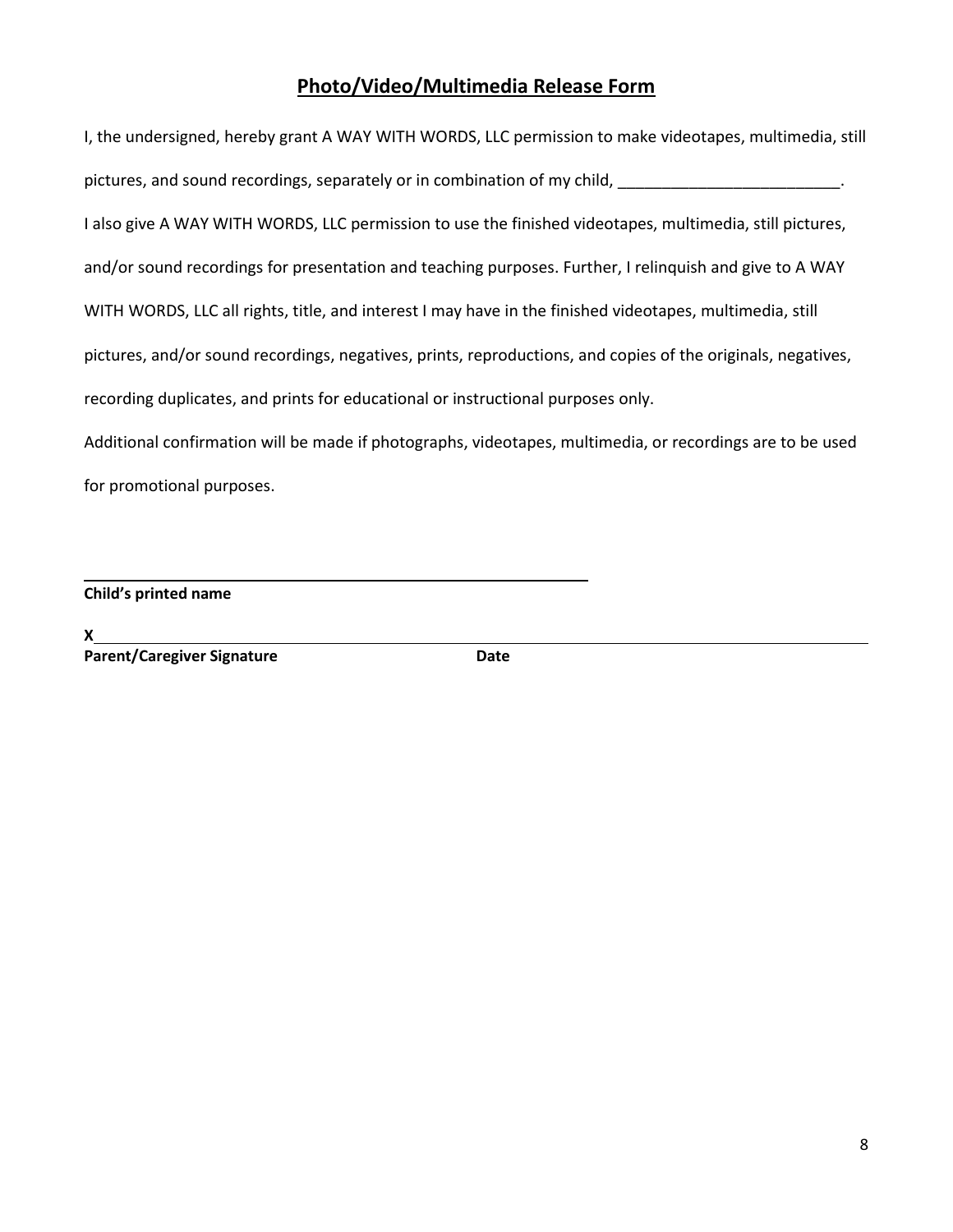#### **Photo/Video/Multimedia Release Form**

I, the undersigned, hereby grant A WAY WITH WORDS, LLC permission to make videotapes, multimedia, still pictures, and sound recordings, separately or in combination of my child, \_\_\_\_\_\_\_\_\_\_\_\_\_\_\_\_\_\_\_\_\_\_\_\_\_\_. I also give A WAY WITH WORDS, LLC permission to use the finished videotapes, multimedia, still pictures, and/or sound recordings for presentation and teaching purposes. Further, I relinquish and give to A WAY WITH WORDS, LLC all rights, title, and interest I may have in the finished videotapes, multimedia, still pictures, and/or sound recordings, negatives, prints, reproductions, and copies of the originals, negatives, recording duplicates, and prints for educational or instructional purposes only. Additional confirmation will be made if photographs, videotapes, multimedia, or recordings are to be used

for promotional purposes.

**Child's printed name** 

**X Parent/Caregiver Signature data assists that control of the Date**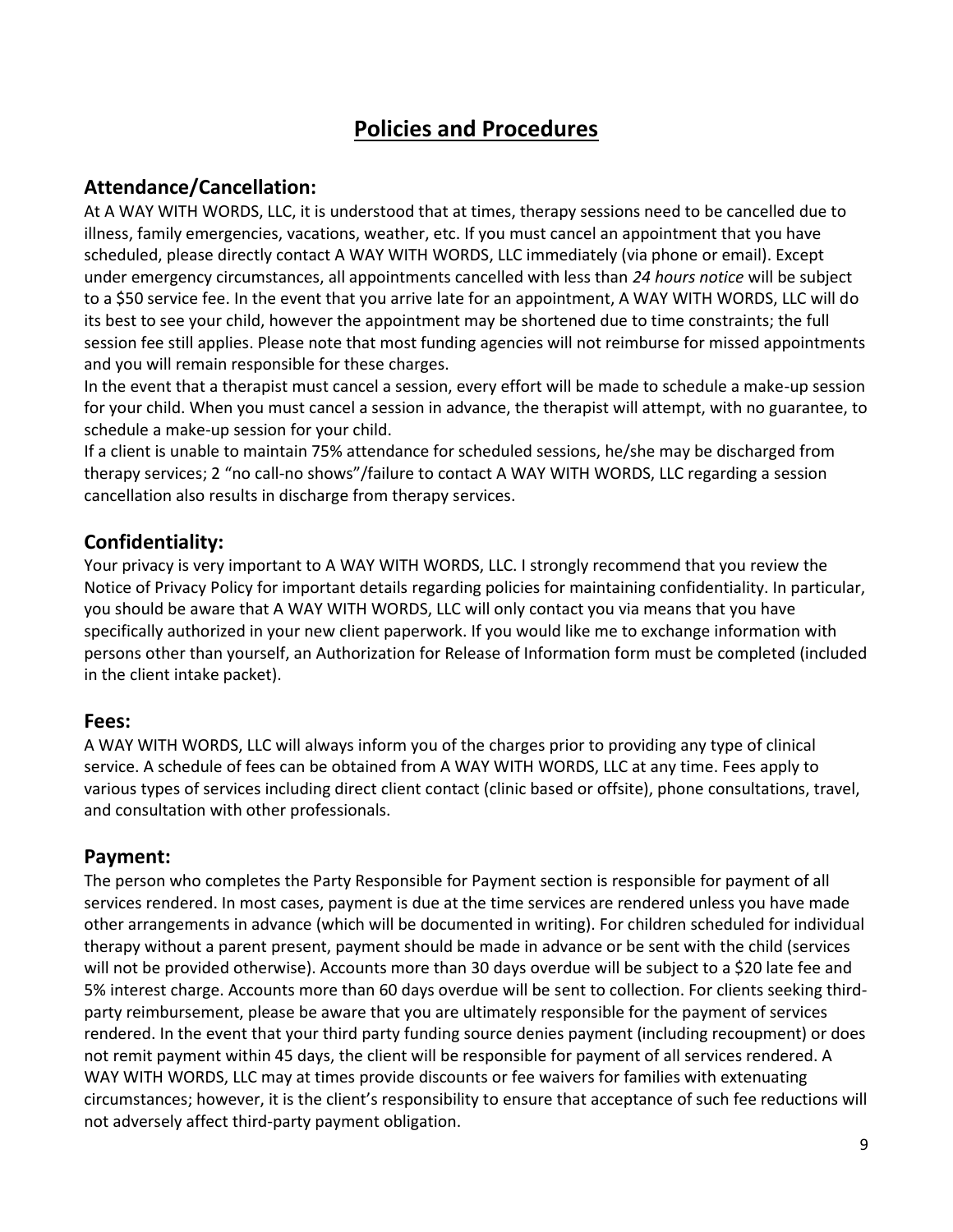# **Policies and Procedures**

## **Attendance/Cancellation:**

At A WAY WITH WORDS, LLC, it is understood that at times, therapy sessions need to be cancelled due to illness, family emergencies, vacations, weather, etc. If you must cancel an appointment that you have scheduled, please directly contact A WAY WITH WORDS, LLC immediately (via phone or email). Except under emergency circumstances, all appointments cancelled with less than *24 hours notice* will be subject to a \$50 service fee. In the event that you arrive late for an appointment, A WAY WITH WORDS, LLC will do its best to see your child, however the appointment may be shortened due to time constraints; the full session fee still applies. Please note that most funding agencies will not reimburse for missed appointments and you will remain responsible for these charges.

In the event that a therapist must cancel a session, every effort will be made to schedule a make-up session for your child. When you must cancel a session in advance, the therapist will attempt, with no guarantee, to schedule a make-up session for your child.

If a client is unable to maintain 75% attendance for scheduled sessions, he/she may be discharged from therapy services; 2 "no call-no shows"/failure to contact A WAY WITH WORDS, LLC regarding a session cancellation also results in discharge from therapy services.

# **Confidentiality:**

Your privacy is very important to A WAY WITH WORDS, LLC. I strongly recommend that you review the Notice of Privacy Policy for important details regarding policies for maintaining confidentiality. In particular, you should be aware that A WAY WITH WORDS, LLC will only contact you via means that you have specifically authorized in your new client paperwork. If you would like me to exchange information with persons other than yourself, an Authorization for Release of Information form must be completed (included in the client intake packet).

### **Fees:**

A WAY WITH WORDS, LLC will always inform you of the charges prior to providing any type of clinical service. A schedule of fees can be obtained from A WAY WITH WORDS, LLC at any time. Fees apply to various types of services including direct client contact (clinic based or offsite), phone consultations, travel, and consultation with other professionals.

### **Payment:**

The person who completes the Party Responsible for Payment section is responsible for payment of all services rendered. In most cases, payment is due at the time services are rendered unless you have made other arrangements in advance (which will be documented in writing). For children scheduled for individual therapy without a parent present, payment should be made in advance or be sent with the child (services will not be provided otherwise). Accounts more than 30 days overdue will be subject to a \$20 late fee and 5% interest charge. Accounts more than 60 days overdue will be sent to collection. For clients seeking thirdparty reimbursement, please be aware that you are ultimately responsible for the payment of services rendered. In the event that your third party funding source denies payment (including recoupment) or does not remit payment within 45 days, the client will be responsible for payment of all services rendered. A WAY WITH WORDS, LLC may at times provide discounts or fee waivers for families with extenuating circumstances; however, it is the client's responsibility to ensure that acceptance of such fee reductions will not adversely affect third-party payment obligation.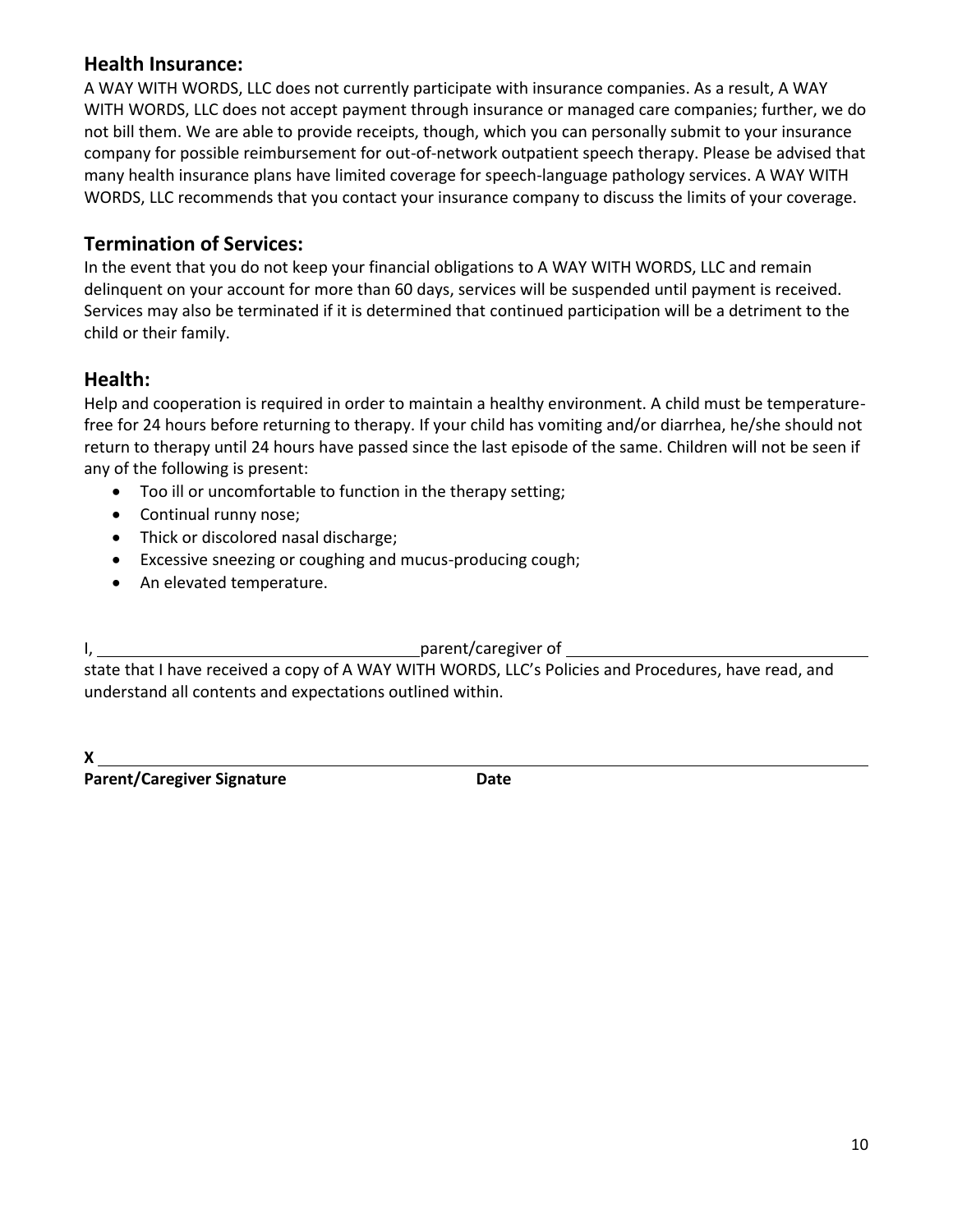#### **Health Insurance:**

A WAY WITH WORDS, LLC does not currently participate with insurance companies. As a result, A WAY WITH WORDS, LLC does not accept payment through insurance or managed care companies; further, we do not bill them. We are able to provide receipts, though, which you can personally submit to your insurance company for possible reimbursement for out-of-network outpatient speech therapy. Please be advised that many health insurance plans have limited coverage for speech-language pathology services. A WAY WITH WORDS, LLC recommends that you contact your insurance company to discuss the limits of your coverage.

## **Termination of Services:**

In the event that you do not keep your financial obligations to A WAY WITH WORDS, LLC and remain delinquent on your account for more than 60 days, services will be suspended until payment is received. Services may also be terminated if it is determined that continued participation will be a detriment to the child or their family.

# **Health:**

Help and cooperation is required in order to maintain a healthy environment. A child must be temperaturefree for 24 hours before returning to therapy. If your child has vomiting and/or diarrhea, he/she should not return to therapy until 24 hours have passed since the last episode of the same. Children will not be seen if any of the following is present:

- Too ill or uncomfortable to function in the therapy setting;
- Continual runny nose;
- Thick or discolored nasal discharge;
- Excessive sneezing or coughing and mucus-producing cough;
- An elevated temperature.

I, parent/caregiver of

state that I have received a copy of A WAY WITH WORDS, LLC's Policies and Procedures, have read, and understand all contents and expectations outlined within.

**X** 

**Parent/Caregiver Signature**  Date **Date**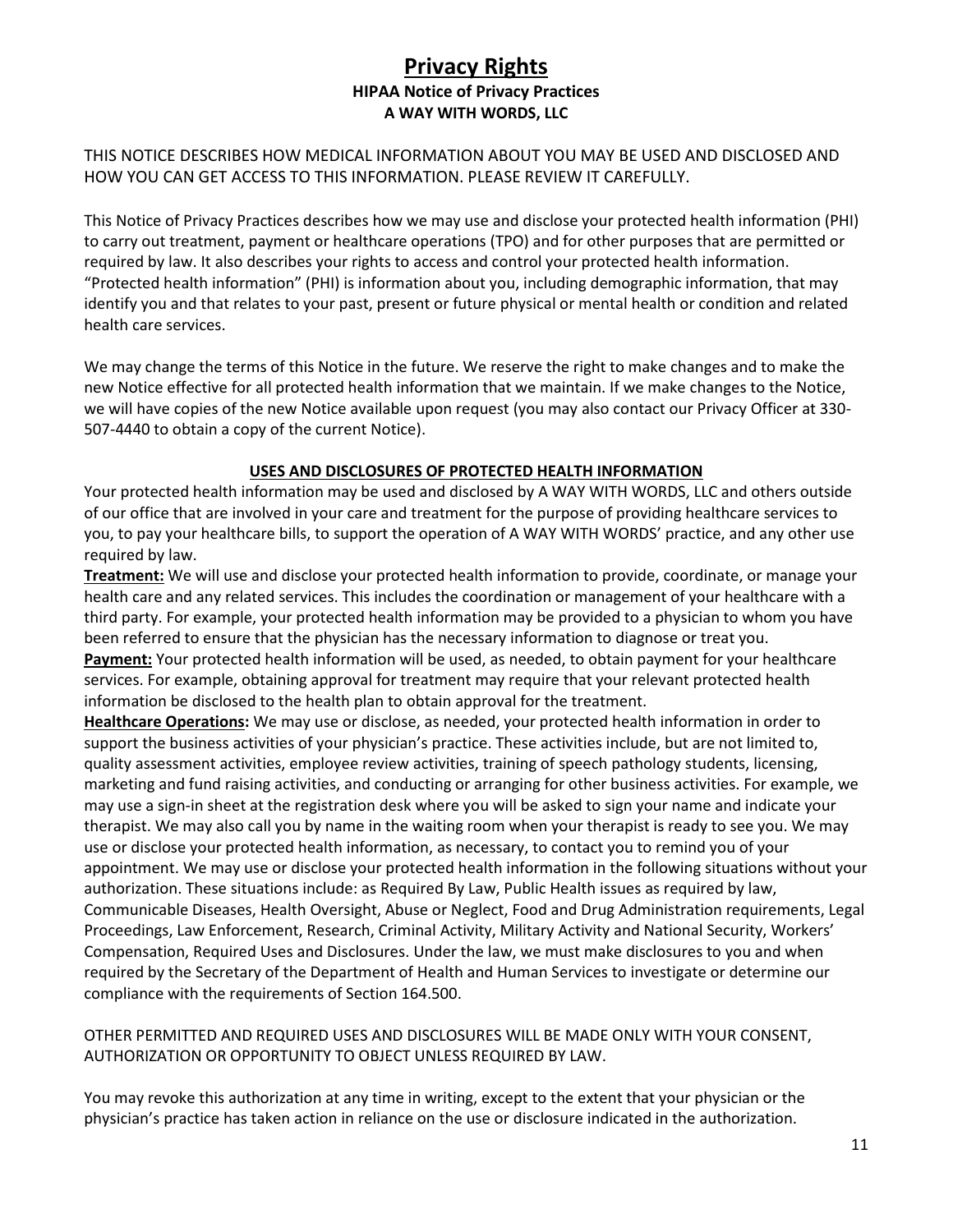### **Privacy Rights HIPAA Notice of Privacy Practices A WAY WITH WORDS, LLC**

THIS NOTICE DESCRIBES HOW MEDICAL INFORMATION ABOUT YOU MAY BE USED AND DISCLOSED AND HOW YOU CAN GET ACCESS TO THIS INFORMATION. PLEASE REVIEW IT CAREFULLY.

This Notice of Privacy Practices describes how we may use and disclose your protected health information (PHI) to carry out treatment, payment or healthcare operations (TPO) and for other purposes that are permitted or required by law. It also describes your rights to access and control your protected health information. "Protected health information" (PHI) is information about you, including demographic information, that may identify you and that relates to your past, present or future physical or mental health or condition and related health care services.

We may change the terms of this Notice in the future. We reserve the right to make changes and to make the new Notice effective for all protected health information that we maintain. If we make changes to the Notice, we will have copies of the new Notice available upon request (you may also contact our Privacy Officer at 330- 507-4440 to obtain a copy of the current Notice).

#### **USES AND DISCLOSURES OF PROTECTED HEALTH INFORMATION**

Your protected health information may be used and disclosed by A WAY WITH WORDS, LLC and others outside of our office that are involved in your care and treatment for the purpose of providing healthcare services to you, to pay your healthcare bills, to support the operation of A WAY WITH WORDS' practice, and any other use required by law.

**Treatment:** We will use and disclose your protected health information to provide, coordinate, or manage your health care and any related services. This includes the coordination or management of your healthcare with a third party. For example, your protected health information may be provided to a physician to whom you have been referred to ensure that the physician has the necessary information to diagnose or treat you. **Payment:** Your protected health information will be used, as needed, to obtain payment for your healthcare services. For example, obtaining approval for treatment may require that your relevant protected health information be disclosed to the health plan to obtain approval for the treatment.

**Healthcare Operations:** We may use or disclose, as needed, your protected health information in order to support the business activities of your physician's practice. These activities include, but are not limited to, quality assessment activities, employee review activities, training of speech pathology students, licensing, marketing and fund raising activities, and conducting or arranging for other business activities. For example, we may use a sign-in sheet at the registration desk where you will be asked to sign your name and indicate your therapist. We may also call you by name in the waiting room when your therapist is ready to see you. We may use or disclose your protected health information, as necessary, to contact you to remind you of your appointment. We may use or disclose your protected health information in the following situations without your authorization. These situations include: as Required By Law, Public Health issues as required by law, Communicable Diseases, Health Oversight, Abuse or Neglect, Food and Drug Administration requirements, Legal Proceedings, Law Enforcement, Research, Criminal Activity, Military Activity and National Security, Workers' Compensation, Required Uses and Disclosures. Under the law, we must make disclosures to you and when required by the Secretary of the Department of Health and Human Services to investigate or determine our compliance with the requirements of Section 164.500.

#### OTHER PERMITTED AND REQUIRED USES AND DISCLOSURES WILL BE MADE ONLY WITH YOUR CONSENT, AUTHORIZATION OR OPPORTUNITY TO OBJECT UNLESS REQUIRED BY LAW.

You may revoke this authorization at any time in writing, except to the extent that your physician or the physician's practice has taken action in reliance on the use or disclosure indicated in the authorization.